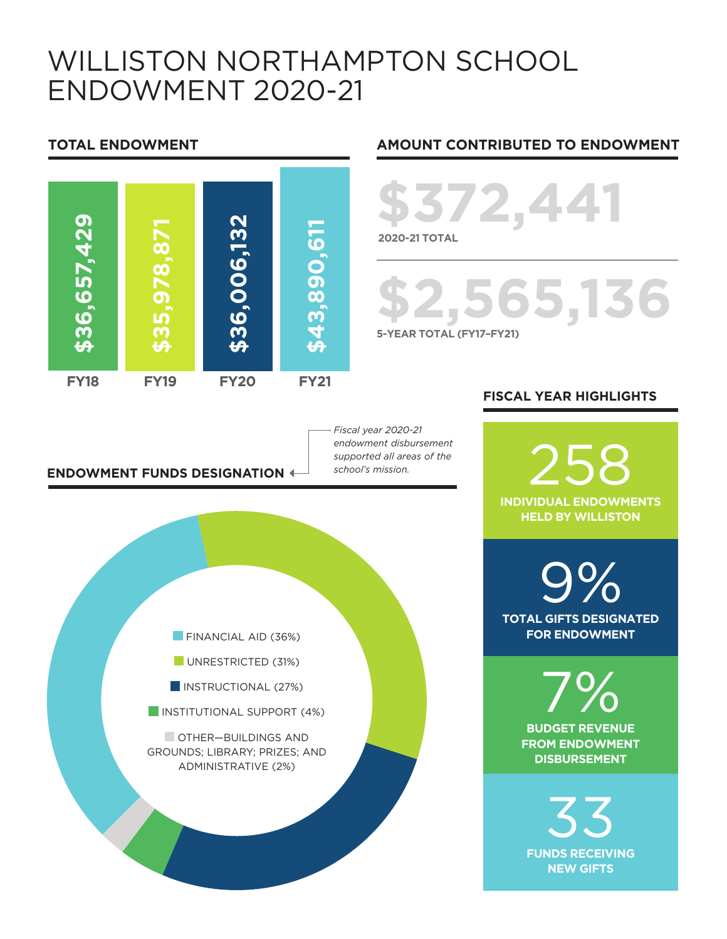### WILLISTON NORTHAMPTON SCHOOL ENDOWMENT 2020-21



### **ENDOWMENT FUNDS DESIGNATION**

#### *Fiscal year 2020-21 endowment disbursement supported all areas of the school's mission.*



#### **TOTAL ENDOWMENT AMOUNT CONTRIBUTED TO ENDOWMENT**

# **\$372,441 2020-21 TOTAL**

# **\$2,565,136 5-YEAR TOTAL (FY17–FY21)**

### **FISCAL YEAR HIGHLIGHTS**

258 **INDIVIDUAL ENDOWMENTS HELD BY WILLISTON**

**TOTAL GIFTS DESIGNATED**  9% **FOR ENDOWMENT**

> **BUDGET REVENUE**  7% **FROM ENDOWMENT DISBURSEMENT**

33 **FUNDS RECEIVING NEW GIFTS**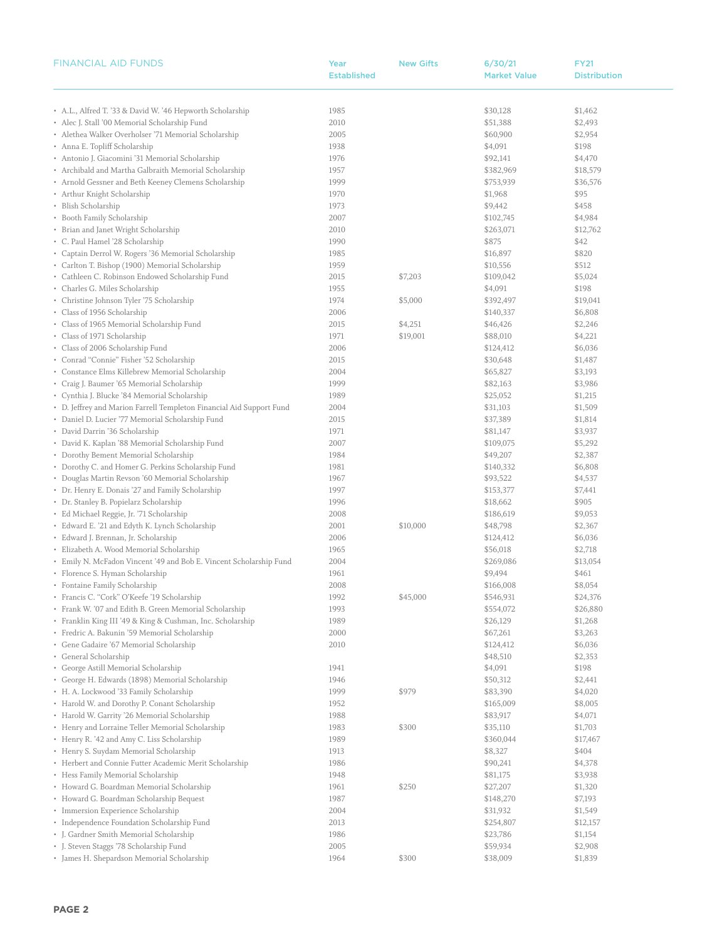| <b>FINANCIAL AID FUNDS</b>                                           | Year               | <b>New Gifts</b> | 6/30/21             | <b>FY21</b>         |
|----------------------------------------------------------------------|--------------------|------------------|---------------------|---------------------|
|                                                                      | <b>Established</b> |                  | <b>Market Value</b> | <b>Distribution</b> |
|                                                                      |                    |                  |                     |                     |
|                                                                      |                    |                  |                     |                     |
| • A.L., Alfred T. '33 & David W. '46 Hepworth Scholarship            | 1985               |                  | \$30,128            | \$1,462             |
| • Alec J. Stall '00 Memorial Scholarship Fund                        | 2010               |                  | \$51,388            | \$2,493             |
| • Alethea Walker Overholser '71 Memorial Scholarship                 | 2005               |                  | \$60,900            | \$2,954             |
| • Anna E. Topliff Scholarship                                        | 1938               |                  | \$4,091             | \$198               |
| • Antonio J. Giacomini '31 Memorial Scholarship                      | 1976               |                  | \$92,141            | \$4,470             |
| • Archibald and Martha Galbraith Memorial Scholarship                | 1957               |                  | \$382,969           | \$18,579            |
| • Arnold Gessner and Beth Keeney Clemens Scholarship                 | 1999               |                  | \$753,939           | \$36,576            |
| • Arthur Knight Scholarship                                          | 1970               |                  | \$1,968             | \$95                |
| • Blish Scholarship                                                  | 1973               |                  | \$9,442             | \$458               |
| • Booth Family Scholarship                                           | 2007               |                  | \$102,745           | \$4,984             |
| • Brian and Janet Wright Scholarship                                 | 2010               |                  | \$263,071           | \$12,762            |
| • C. Paul Hamel '28 Scholarship                                      | 1990               |                  | \$875               | \$42                |
| • Captain Derrol W. Rogers '36 Memorial Scholarship                  | 1985               |                  | \$16,897            | \$820               |
| • Carlton T. Bishop (1900) Memorial Scholarship                      | 1959               |                  | \$10,556            | \$512               |
| • Cathleen C. Robinson Endowed Scholarship Fund                      | 2015               | \$7,203          | \$109,042           | \$5,024             |
| • Charles G. Miles Scholarship                                       | 1955               |                  | \$4,091             | \$198               |
| • Christine Johnson Tyler '75 Scholarship                            | 1974               | \$5,000          | \$392,497           | \$19,041            |
| • Class of 1956 Scholarship                                          | 2006               |                  | \$140,337           | \$6,808             |
| • Class of 1965 Memorial Scholarship Fund                            | 2015               | \$4,251          | \$46,426            | \$2,246             |
| • Class of 1971 Scholarship                                          | 1971               | \$19,001         | \$88,010            | \$4,221             |
| • Class of 2006 Scholarship Fund                                     | 2006               |                  | \$124,412           | \$6,036             |
| • Conrad "Connie" Fisher '52 Scholarship                             | 2015               |                  | \$30,648            | \$1,487             |
| • Constance Elms Killebrew Memorial Scholarship                      | 2004               |                  | \$65,827            | \$3,193             |
| • Craig J. Baumer '65 Memorial Scholarship                           | 1999               |                  | \$82,163            | \$3,986             |
| • Cynthia J. Blucke '84 Memorial Scholarship                         | 1989               |                  | \$25,052            | \$1,215             |
| • D. Jeffrey and Marion Farrell Templeton Financial Aid Support Fund | 2004               |                  | \$31,103            | \$1,509             |
| • Daniel D. Lucier '77 Memorial Scholarship Fund                     | 2015               |                  | \$37,389            | \$1,814             |
| • David Darrin '36 Scholarship                                       | 1971               |                  | \$81,147            | \$3,937             |
| · David K. Kaplan '88 Memorial Scholarship Fund                      | 2007               |                  | \$109,075           | \$5,292             |
|                                                                      | 1984               |                  | \$49,207            | \$2,387             |
| • Dorothy Bement Memorial Scholarship                                | 1981               |                  | \$140,332           | \$6,808             |
| • Dorothy C. and Homer G. Perkins Scholarship Fund                   |                    |                  |                     |                     |
| • Douglas Martin Revson '60 Memorial Scholarship                     | 1967               |                  | \$93,522            | \$4,537             |
| • Dr. Henry E. Donais '27 and Family Scholarship                     | 1997               |                  | \$153,377           | \$7,441             |
| • Dr. Stanley B. Popielarz Scholarship                               | 1996               |                  | \$18,662            | \$905               |
| • Ed Michael Reggie, Jr. '71 Scholarship                             | 2008               |                  | \$186,619           | \$9,053             |
| • Edward E. '21 and Edyth K. Lynch Scholarship                       | 2001               | \$10,000         | \$48,798            | \$2,367             |
| · Edward J. Brennan, Jr. Scholarship                                 | 2006               |                  | \$124,412           | \$6,036             |
| • Elizabeth A. Wood Memorial Scholarship                             | 1965               |                  | \$56,018            | \$2,718             |
| • Emily N. McFadon Vincent '49 and Bob E. Vincent Scholarship Fund   | 2004               |                  | \$269,086           | \$13,054            |
| • Florence S. Hyman Scholarship                                      | 1961               |                  | \$9,494             | \$461               |
| • Fontaine Family Scholarship                                        | 2008               |                  | \$166,008           | \$8,054             |
| · Francis C. "Cork" O'Keefe '19 Scholarship                          | 1992               | \$45,000         | \$546,931           | \$24,376            |
| • Frank W. '07 and Edith B. Green Memorial Scholarship               | 1993               |                  | \$554,072           | \$26,880            |
| • Franklin King III '49 & King & Cushman, Inc. Scholarship           | 1989               |                  | \$26,129            | \$1,268             |
| • Fredric A. Bakunin '59 Memorial Scholarship                        | 2000               |                  | \$67,261            | \$3,263             |
| • Gene Gadaire '67 Memorial Scholarship                              | 2010               |                  | \$124,412           | \$6,036             |
| • General Scholarship                                                |                    |                  | \$48,510            | \$2,353             |
| • George Astill Memorial Scholarship                                 | 1941               |                  | \$4,091             | \$198               |
| · George H. Edwards (1898) Memorial Scholarship                      | 1946               |                  | \$50,312            | \$2,441             |
| • H. A. Lockwood '33 Family Scholarship                              | 1999               | \$979            | \$83,390            | \$4,020             |
| • Harold W. and Dorothy P. Conant Scholarship                        | 1952               |                  | \$165,009           | \$8,005             |
| • Harold W. Garrity '26 Memorial Scholarship                         | 1988               |                  | \$83,917            | \$4,071             |
| • Henry and Lorraine Teller Memorial Scholarship                     | 1983               | \$300            | \$35,110            | \$1,703             |
| • Henry R. '42 and Amy C. Liss Scholarship                           | 1989               |                  | \$360,044           | \$17,467            |
| • Henry S. Suydam Memorial Scholarship                               | 1913               |                  | \$8,327             | \$404               |
| • Herbert and Connie Futter Academic Merit Scholarship               | 1986               |                  | \$90,241            | \$4,378             |
| • Hess Family Memorial Scholarship                                   | 1948               |                  | \$81,175            | \$3,938             |
| • Howard G. Boardman Memorial Scholarship                            | 1961               | \$250            | \$27,207            | \$1,320             |
| • Howard G. Boardman Scholarship Bequest                             | 1987               |                  | \$148,270           | \$7,193             |
| • Immersion Experience Scholarship                                   | 2004               |                  | \$31,932            | \$1,549             |
| • Independence Foundation Scholarship Fund                           | 2013               |                  | \$254,807           | \$12,157            |
| • J. Gardner Smith Memorial Scholarship                              | 1986               |                  | \$23,786            | \$1,154             |
| • J. Steven Staggs '78 Scholarship Fund                              | 2005               |                  | \$59,934            | \$2,908             |
| • James H. Shepardson Memorial Scholarship                           | 1964               | \$300            | \$38,009            | \$1,839             |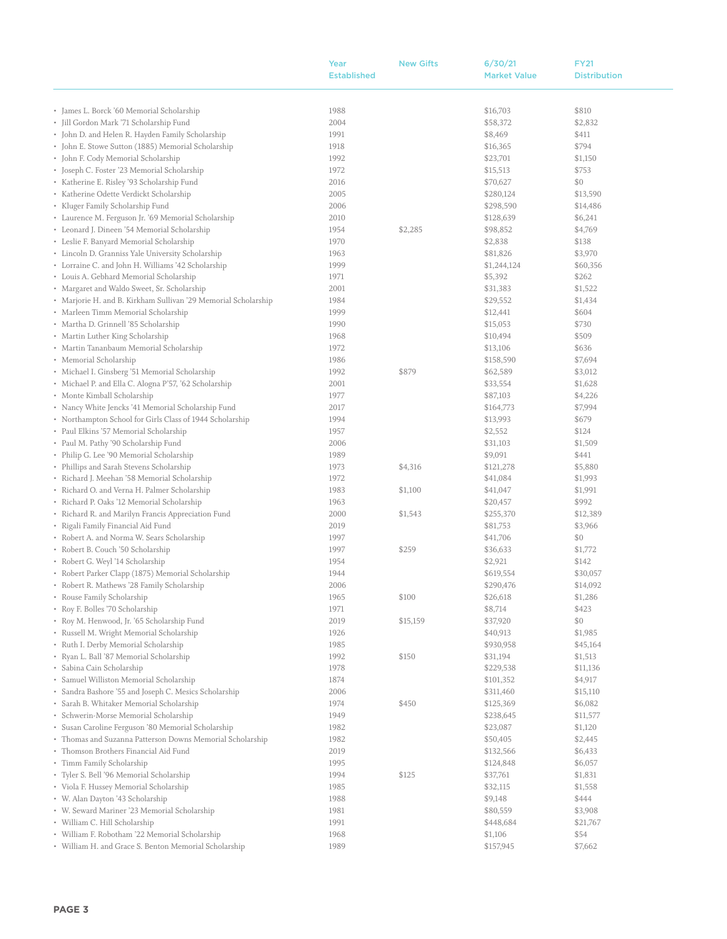| <b>Established</b><br><b>Market Value</b><br><b>Distribution</b><br>• James L. Borck '60 Memorial Scholarship<br>1988<br>\$16,703<br>\$810<br>· Jill Gordon Mark '71 Scholarship Fund<br>\$2,832<br>2004<br>\$58,372<br>• John D. and Helen R. Hayden Family Scholarship<br>1991<br>\$8,469<br>\$411<br>\$794<br>• John E. Stowe Sutton (1885) Memorial Scholarship<br>\$16,365<br>1918<br>• John F. Cody Memorial Scholarship<br>\$23,701<br>1992<br>\$1,150<br>• Joseph C. Foster '23 Memorial Scholarship<br>1972<br>\$15,513<br>\$753<br>• Katherine E. Risley '93 Scholarship Fund<br>2016<br>\$70,627<br>\$0<br>• Katherine Odette Verdickt Scholarship<br>\$280,124<br>\$13,590<br>2005<br>• Kluger Family Scholarship Fund<br>2006<br>\$298,590<br>\$14,486<br>• Laurence M. Ferguson Jr. '69 Memorial Scholarship<br>2010<br>\$128,639<br>\$6,241<br>• Leonard J. Dineen '54 Memorial Scholarship<br>\$4,769<br>1954<br>\$2,285<br>\$98,852<br>• Leslie F. Banyard Memorial Scholarship<br>1970<br>\$2,838<br>\$138<br>· Lincoln D. Granniss Yale University Scholarship<br>\$81,826<br>\$3,970<br>1963<br>• Lorraine C. and John H. Williams '42 Scholarship<br>1999<br>\$1,244,124<br>\$60,356<br>\$262<br>• Louis A. Gebhard Memorial Scholarship<br>\$5,392<br>1971<br>\$1,522<br>• Margaret and Waldo Sweet, Sr. Scholarship<br>\$31,383<br>2001<br>• Marjorie H. and B. Kirkham Sullivan '29 Memorial Scholarship<br>\$29,552<br>\$1,434<br>1984<br>\$604<br>• Marleen Timm Memorial Scholarship<br>1999<br>\$12,441<br>• Martha D. Grinnell '85 Scholarship<br>\$15,053<br>\$730<br>1990<br>• Martin Luther King Scholarship<br>\$509<br>\$10,494<br>1968<br>\$636<br>• Martin Tananbaum Memorial Scholarship<br>1972<br>\$13,106<br>\$7,694<br>• Memorial Scholarship<br>1986<br>\$158,590<br>· Michael I. Ginsberg '51 Memorial Scholarship<br>\$879<br>\$62,589<br>\$3,012<br>1992<br>· Michael P. and Ella C. Alogna P'57, '62 Scholarship<br>2001<br>\$33,554<br>\$1,628<br>• Monte Kimball Scholarship<br>\$87,103<br>\$4,226<br>1977<br>• Nancy White Jencks '41 Memorial Scholarship Fund<br>\$7,994<br>2017<br>\$164,773<br>• Northampton School for Girls Class of 1944 Scholarship<br>1994<br>\$13,993<br>\$679<br>• Paul Elkins '57 Memorial Scholarship<br>\$2,552<br>\$124<br>1957<br>• Paul M. Pathy '90 Scholarship Fund<br>\$1,509<br>2006<br>\$31,103<br>• Philip G. Lee '90 Memorial Scholarship<br>1989<br>\$9,091<br>\$441<br>• Phillips and Sarah Stevens Scholarship<br>\$4,316<br>\$121,278<br>\$5,880<br>1973<br>· Richard J. Meehan '58 Memorial Scholarship<br>1972<br>\$41,084<br>\$1,993<br>• Richard O. and Verna H. Palmer Scholarship<br>1983<br>\$1,100<br>\$41,047<br>\$1,991<br>• Richard P. Oaks '12 Memorial Scholarship<br>1963<br>\$992<br>\$20,457<br>• Richard R. and Marilyn Francis Appreciation Fund<br>2000<br>\$1,543<br>\$255,370<br>\$12,389<br>• Rigali Family Financial Aid Fund<br>2019<br>\$81,753<br>\$3,966<br>• Robert A. and Norma W. Sears Scholarship<br>\$41,706<br>\$0<br>1997<br>\$1,772<br>• Robert B. Couch '50 Scholarship<br>1997<br>\$259<br>\$36,633<br>• Robert G. Weyl '14 Scholarship<br>1954<br>\$2,921<br>\$142<br>• Robert Parker Clapp (1875) Memorial Scholarship<br>1944<br>\$619,554<br>\$30,057<br>2006<br>• Robert R. Mathews '28 Family Scholarship<br>\$290,476<br>\$14,092<br>• Rouse Family Scholarship<br>\$100<br>1965<br>\$26,618<br>\$1,286<br>• Roy F. Bolles '70 Scholarship<br>\$8,714<br>\$423<br>1971<br>• Roy M. Henwood, Jr. '65 Scholarship Fund<br>\$37,920<br>\$0<br>2019<br>\$15,159<br>• Russell M. Wright Memorial Scholarship<br>1926<br>\$40,913<br>\$1,985<br>• Ruth I. Derby Memorial Scholarship<br>1985<br>\$45,164<br>\$930,958<br>• Ryan L. Ball '87 Memorial Scholarship<br>1992<br>\$150<br>\$31,194<br>\$1,513<br>• Sabina Cain Scholarship<br>1978<br>\$229,538<br>\$11,136<br>• Samuel Williston Memorial Scholarship<br>\$101,352<br>\$4,917<br>1874<br>· Sandra Bashore '55 and Joseph C. Mesics Scholarship<br>2006<br>\$311,460<br>\$15,110<br>• Sarah B. Whitaker Memorial Scholarship<br>1974<br>\$450<br>\$125,369<br>\$6,082<br>• Schwerin-Morse Memorial Scholarship<br>\$238,645<br>1949<br>\$11,577<br>· Susan Caroline Ferguson '80 Memorial Scholarship<br>\$23,087<br>1982<br>\$1,120<br>• Thomas and Suzanna Patterson Downs Memorial Scholarship<br>1982<br>\$50,405<br>\$2,445<br>• Thomson Brothers Financial Aid Fund<br>2019<br>\$132,566<br>\$6,433<br>• Timm Family Scholarship<br>1995<br>\$124,848<br>\$6,057<br>• Tyler S. Bell '96 Memorial Scholarship<br>1994<br>\$125<br>\$37,761<br>\$1,831<br>• Viola F. Hussey Memorial Scholarship<br>\$32,115<br>\$1,558<br>1985<br>• W. Alan Dayton '43 Scholarship<br>1988<br>\$9,148<br>\$444<br>• W. Seward Mariner '23 Memorial Scholarship<br>1981<br>\$80,559<br>\$3,908<br>1991<br>\$448,684<br>• William C. Hill Scholarship<br>\$21,767<br>· William F. Robotham '22 Memorial Scholarship<br>1968<br>\$1,106<br>\$54<br>• William H. and Grace S. Benton Memorial Scholarship<br>1989<br>\$157,945<br>\$7,662 | Year | <b>New Gifts</b> | 6/30/21 | <b>FY21</b> |
|----------------------------------------------------------------------------------------------------------------------------------------------------------------------------------------------------------------------------------------------------------------------------------------------------------------------------------------------------------------------------------------------------------------------------------------------------------------------------------------------------------------------------------------------------------------------------------------------------------------------------------------------------------------------------------------------------------------------------------------------------------------------------------------------------------------------------------------------------------------------------------------------------------------------------------------------------------------------------------------------------------------------------------------------------------------------------------------------------------------------------------------------------------------------------------------------------------------------------------------------------------------------------------------------------------------------------------------------------------------------------------------------------------------------------------------------------------------------------------------------------------------------------------------------------------------------------------------------------------------------------------------------------------------------------------------------------------------------------------------------------------------------------------------------------------------------------------------------------------------------------------------------------------------------------------------------------------------------------------------------------------------------------------------------------------------------------------------------------------------------------------------------------------------------------------------------------------------------------------------------------------------------------------------------------------------------------------------------------------------------------------------------------------------------------------------------------------------------------------------------------------------------------------------------------------------------------------------------------------------------------------------------------------------------------------------------------------------------------------------------------------------------------------------------------------------------------------------------------------------------------------------------------------------------------------------------------------------------------------------------------------------------------------------------------------------------------------------------------------------------------------------------------------------------------------------------------------------------------------------------------------------------------------------------------------------------------------------------------------------------------------------------------------------------------------------------------------------------------------------------------------------------------------------------------------------------------------------------------------------------------------------------------------------------------------------------------------------------------------------------------------------------------------------------------------------------------------------------------------------------------------------------------------------------------------------------------------------------------------------------------------------------------------------------------------------------------------------------------------------------------------------------------------------------------------------------------------------------------------------------------------------------------------------------------------------------------------------------------------------------------------------------------------------------------------------------------------------------------------------------------------------------------------------------------------------------------------------------------------------------------------------------------------------------------------------------------------------------------------------------------------------------------------------------------------------------------------------------------------------------------------------------------------------------------------------------------------------------------------------------------------------------------------------------------------------------------------------------------------------------------|------|------------------|---------|-------------|
|                                                                                                                                                                                                                                                                                                                                                                                                                                                                                                                                                                                                                                                                                                                                                                                                                                                                                                                                                                                                                                                                                                                                                                                                                                                                                                                                                                                                                                                                                                                                                                                                                                                                                                                                                                                                                                                                                                                                                                                                                                                                                                                                                                                                                                                                                                                                                                                                                                                                                                                                                                                                                                                                                                                                                                                                                                                                                                                                                                                                                                                                                                                                                                                                                                                                                                                                                                                                                                                                                                                                                                                                                                                                                                                                                                                                                                                                                                                                                                                                                                                                                                                                                                                                                                                                                                                                                                                                                                                                                                                                                                                                                                                                                                                                                                                                                                                                                                                                                                                                                                                                                                                            |      |                  |         |             |
|                                                                                                                                                                                                                                                                                                                                                                                                                                                                                                                                                                                                                                                                                                                                                                                                                                                                                                                                                                                                                                                                                                                                                                                                                                                                                                                                                                                                                                                                                                                                                                                                                                                                                                                                                                                                                                                                                                                                                                                                                                                                                                                                                                                                                                                                                                                                                                                                                                                                                                                                                                                                                                                                                                                                                                                                                                                                                                                                                                                                                                                                                                                                                                                                                                                                                                                                                                                                                                                                                                                                                                                                                                                                                                                                                                                                                                                                                                                                                                                                                                                                                                                                                                                                                                                                                                                                                                                                                                                                                                                                                                                                                                                                                                                                                                                                                                                                                                                                                                                                                                                                                                                            |      |                  |         |             |
|                                                                                                                                                                                                                                                                                                                                                                                                                                                                                                                                                                                                                                                                                                                                                                                                                                                                                                                                                                                                                                                                                                                                                                                                                                                                                                                                                                                                                                                                                                                                                                                                                                                                                                                                                                                                                                                                                                                                                                                                                                                                                                                                                                                                                                                                                                                                                                                                                                                                                                                                                                                                                                                                                                                                                                                                                                                                                                                                                                                                                                                                                                                                                                                                                                                                                                                                                                                                                                                                                                                                                                                                                                                                                                                                                                                                                                                                                                                                                                                                                                                                                                                                                                                                                                                                                                                                                                                                                                                                                                                                                                                                                                                                                                                                                                                                                                                                                                                                                                                                                                                                                                                            |      |                  |         |             |
|                                                                                                                                                                                                                                                                                                                                                                                                                                                                                                                                                                                                                                                                                                                                                                                                                                                                                                                                                                                                                                                                                                                                                                                                                                                                                                                                                                                                                                                                                                                                                                                                                                                                                                                                                                                                                                                                                                                                                                                                                                                                                                                                                                                                                                                                                                                                                                                                                                                                                                                                                                                                                                                                                                                                                                                                                                                                                                                                                                                                                                                                                                                                                                                                                                                                                                                                                                                                                                                                                                                                                                                                                                                                                                                                                                                                                                                                                                                                                                                                                                                                                                                                                                                                                                                                                                                                                                                                                                                                                                                                                                                                                                                                                                                                                                                                                                                                                                                                                                                                                                                                                                                            |      |                  |         |             |
|                                                                                                                                                                                                                                                                                                                                                                                                                                                                                                                                                                                                                                                                                                                                                                                                                                                                                                                                                                                                                                                                                                                                                                                                                                                                                                                                                                                                                                                                                                                                                                                                                                                                                                                                                                                                                                                                                                                                                                                                                                                                                                                                                                                                                                                                                                                                                                                                                                                                                                                                                                                                                                                                                                                                                                                                                                                                                                                                                                                                                                                                                                                                                                                                                                                                                                                                                                                                                                                                                                                                                                                                                                                                                                                                                                                                                                                                                                                                                                                                                                                                                                                                                                                                                                                                                                                                                                                                                                                                                                                                                                                                                                                                                                                                                                                                                                                                                                                                                                                                                                                                                                                            |      |                  |         |             |
|                                                                                                                                                                                                                                                                                                                                                                                                                                                                                                                                                                                                                                                                                                                                                                                                                                                                                                                                                                                                                                                                                                                                                                                                                                                                                                                                                                                                                                                                                                                                                                                                                                                                                                                                                                                                                                                                                                                                                                                                                                                                                                                                                                                                                                                                                                                                                                                                                                                                                                                                                                                                                                                                                                                                                                                                                                                                                                                                                                                                                                                                                                                                                                                                                                                                                                                                                                                                                                                                                                                                                                                                                                                                                                                                                                                                                                                                                                                                                                                                                                                                                                                                                                                                                                                                                                                                                                                                                                                                                                                                                                                                                                                                                                                                                                                                                                                                                                                                                                                                                                                                                                                            |      |                  |         |             |
|                                                                                                                                                                                                                                                                                                                                                                                                                                                                                                                                                                                                                                                                                                                                                                                                                                                                                                                                                                                                                                                                                                                                                                                                                                                                                                                                                                                                                                                                                                                                                                                                                                                                                                                                                                                                                                                                                                                                                                                                                                                                                                                                                                                                                                                                                                                                                                                                                                                                                                                                                                                                                                                                                                                                                                                                                                                                                                                                                                                                                                                                                                                                                                                                                                                                                                                                                                                                                                                                                                                                                                                                                                                                                                                                                                                                                                                                                                                                                                                                                                                                                                                                                                                                                                                                                                                                                                                                                                                                                                                                                                                                                                                                                                                                                                                                                                                                                                                                                                                                                                                                                                                            |      |                  |         |             |
|                                                                                                                                                                                                                                                                                                                                                                                                                                                                                                                                                                                                                                                                                                                                                                                                                                                                                                                                                                                                                                                                                                                                                                                                                                                                                                                                                                                                                                                                                                                                                                                                                                                                                                                                                                                                                                                                                                                                                                                                                                                                                                                                                                                                                                                                                                                                                                                                                                                                                                                                                                                                                                                                                                                                                                                                                                                                                                                                                                                                                                                                                                                                                                                                                                                                                                                                                                                                                                                                                                                                                                                                                                                                                                                                                                                                                                                                                                                                                                                                                                                                                                                                                                                                                                                                                                                                                                                                                                                                                                                                                                                                                                                                                                                                                                                                                                                                                                                                                                                                                                                                                                                            |      |                  |         |             |
|                                                                                                                                                                                                                                                                                                                                                                                                                                                                                                                                                                                                                                                                                                                                                                                                                                                                                                                                                                                                                                                                                                                                                                                                                                                                                                                                                                                                                                                                                                                                                                                                                                                                                                                                                                                                                                                                                                                                                                                                                                                                                                                                                                                                                                                                                                                                                                                                                                                                                                                                                                                                                                                                                                                                                                                                                                                                                                                                                                                                                                                                                                                                                                                                                                                                                                                                                                                                                                                                                                                                                                                                                                                                                                                                                                                                                                                                                                                                                                                                                                                                                                                                                                                                                                                                                                                                                                                                                                                                                                                                                                                                                                                                                                                                                                                                                                                                                                                                                                                                                                                                                                                            |      |                  |         |             |
|                                                                                                                                                                                                                                                                                                                                                                                                                                                                                                                                                                                                                                                                                                                                                                                                                                                                                                                                                                                                                                                                                                                                                                                                                                                                                                                                                                                                                                                                                                                                                                                                                                                                                                                                                                                                                                                                                                                                                                                                                                                                                                                                                                                                                                                                                                                                                                                                                                                                                                                                                                                                                                                                                                                                                                                                                                                                                                                                                                                                                                                                                                                                                                                                                                                                                                                                                                                                                                                                                                                                                                                                                                                                                                                                                                                                                                                                                                                                                                                                                                                                                                                                                                                                                                                                                                                                                                                                                                                                                                                                                                                                                                                                                                                                                                                                                                                                                                                                                                                                                                                                                                                            |      |                  |         |             |
|                                                                                                                                                                                                                                                                                                                                                                                                                                                                                                                                                                                                                                                                                                                                                                                                                                                                                                                                                                                                                                                                                                                                                                                                                                                                                                                                                                                                                                                                                                                                                                                                                                                                                                                                                                                                                                                                                                                                                                                                                                                                                                                                                                                                                                                                                                                                                                                                                                                                                                                                                                                                                                                                                                                                                                                                                                                                                                                                                                                                                                                                                                                                                                                                                                                                                                                                                                                                                                                                                                                                                                                                                                                                                                                                                                                                                                                                                                                                                                                                                                                                                                                                                                                                                                                                                                                                                                                                                                                                                                                                                                                                                                                                                                                                                                                                                                                                                                                                                                                                                                                                                                                            |      |                  |         |             |
|                                                                                                                                                                                                                                                                                                                                                                                                                                                                                                                                                                                                                                                                                                                                                                                                                                                                                                                                                                                                                                                                                                                                                                                                                                                                                                                                                                                                                                                                                                                                                                                                                                                                                                                                                                                                                                                                                                                                                                                                                                                                                                                                                                                                                                                                                                                                                                                                                                                                                                                                                                                                                                                                                                                                                                                                                                                                                                                                                                                                                                                                                                                                                                                                                                                                                                                                                                                                                                                                                                                                                                                                                                                                                                                                                                                                                                                                                                                                                                                                                                                                                                                                                                                                                                                                                                                                                                                                                                                                                                                                                                                                                                                                                                                                                                                                                                                                                                                                                                                                                                                                                                                            |      |                  |         |             |
|                                                                                                                                                                                                                                                                                                                                                                                                                                                                                                                                                                                                                                                                                                                                                                                                                                                                                                                                                                                                                                                                                                                                                                                                                                                                                                                                                                                                                                                                                                                                                                                                                                                                                                                                                                                                                                                                                                                                                                                                                                                                                                                                                                                                                                                                                                                                                                                                                                                                                                                                                                                                                                                                                                                                                                                                                                                                                                                                                                                                                                                                                                                                                                                                                                                                                                                                                                                                                                                                                                                                                                                                                                                                                                                                                                                                                                                                                                                                                                                                                                                                                                                                                                                                                                                                                                                                                                                                                                                                                                                                                                                                                                                                                                                                                                                                                                                                                                                                                                                                                                                                                                                            |      |                  |         |             |
|                                                                                                                                                                                                                                                                                                                                                                                                                                                                                                                                                                                                                                                                                                                                                                                                                                                                                                                                                                                                                                                                                                                                                                                                                                                                                                                                                                                                                                                                                                                                                                                                                                                                                                                                                                                                                                                                                                                                                                                                                                                                                                                                                                                                                                                                                                                                                                                                                                                                                                                                                                                                                                                                                                                                                                                                                                                                                                                                                                                                                                                                                                                                                                                                                                                                                                                                                                                                                                                                                                                                                                                                                                                                                                                                                                                                                                                                                                                                                                                                                                                                                                                                                                                                                                                                                                                                                                                                                                                                                                                                                                                                                                                                                                                                                                                                                                                                                                                                                                                                                                                                                                                            |      |                  |         |             |
|                                                                                                                                                                                                                                                                                                                                                                                                                                                                                                                                                                                                                                                                                                                                                                                                                                                                                                                                                                                                                                                                                                                                                                                                                                                                                                                                                                                                                                                                                                                                                                                                                                                                                                                                                                                                                                                                                                                                                                                                                                                                                                                                                                                                                                                                                                                                                                                                                                                                                                                                                                                                                                                                                                                                                                                                                                                                                                                                                                                                                                                                                                                                                                                                                                                                                                                                                                                                                                                                                                                                                                                                                                                                                                                                                                                                                                                                                                                                                                                                                                                                                                                                                                                                                                                                                                                                                                                                                                                                                                                                                                                                                                                                                                                                                                                                                                                                                                                                                                                                                                                                                                                            |      |                  |         |             |
|                                                                                                                                                                                                                                                                                                                                                                                                                                                                                                                                                                                                                                                                                                                                                                                                                                                                                                                                                                                                                                                                                                                                                                                                                                                                                                                                                                                                                                                                                                                                                                                                                                                                                                                                                                                                                                                                                                                                                                                                                                                                                                                                                                                                                                                                                                                                                                                                                                                                                                                                                                                                                                                                                                                                                                                                                                                                                                                                                                                                                                                                                                                                                                                                                                                                                                                                                                                                                                                                                                                                                                                                                                                                                                                                                                                                                                                                                                                                                                                                                                                                                                                                                                                                                                                                                                                                                                                                                                                                                                                                                                                                                                                                                                                                                                                                                                                                                                                                                                                                                                                                                                                            |      |                  |         |             |
|                                                                                                                                                                                                                                                                                                                                                                                                                                                                                                                                                                                                                                                                                                                                                                                                                                                                                                                                                                                                                                                                                                                                                                                                                                                                                                                                                                                                                                                                                                                                                                                                                                                                                                                                                                                                                                                                                                                                                                                                                                                                                                                                                                                                                                                                                                                                                                                                                                                                                                                                                                                                                                                                                                                                                                                                                                                                                                                                                                                                                                                                                                                                                                                                                                                                                                                                                                                                                                                                                                                                                                                                                                                                                                                                                                                                                                                                                                                                                                                                                                                                                                                                                                                                                                                                                                                                                                                                                                                                                                                                                                                                                                                                                                                                                                                                                                                                                                                                                                                                                                                                                                                            |      |                  |         |             |
|                                                                                                                                                                                                                                                                                                                                                                                                                                                                                                                                                                                                                                                                                                                                                                                                                                                                                                                                                                                                                                                                                                                                                                                                                                                                                                                                                                                                                                                                                                                                                                                                                                                                                                                                                                                                                                                                                                                                                                                                                                                                                                                                                                                                                                                                                                                                                                                                                                                                                                                                                                                                                                                                                                                                                                                                                                                                                                                                                                                                                                                                                                                                                                                                                                                                                                                                                                                                                                                                                                                                                                                                                                                                                                                                                                                                                                                                                                                                                                                                                                                                                                                                                                                                                                                                                                                                                                                                                                                                                                                                                                                                                                                                                                                                                                                                                                                                                                                                                                                                                                                                                                                            |      |                  |         |             |
|                                                                                                                                                                                                                                                                                                                                                                                                                                                                                                                                                                                                                                                                                                                                                                                                                                                                                                                                                                                                                                                                                                                                                                                                                                                                                                                                                                                                                                                                                                                                                                                                                                                                                                                                                                                                                                                                                                                                                                                                                                                                                                                                                                                                                                                                                                                                                                                                                                                                                                                                                                                                                                                                                                                                                                                                                                                                                                                                                                                                                                                                                                                                                                                                                                                                                                                                                                                                                                                                                                                                                                                                                                                                                                                                                                                                                                                                                                                                                                                                                                                                                                                                                                                                                                                                                                                                                                                                                                                                                                                                                                                                                                                                                                                                                                                                                                                                                                                                                                                                                                                                                                                            |      |                  |         |             |
|                                                                                                                                                                                                                                                                                                                                                                                                                                                                                                                                                                                                                                                                                                                                                                                                                                                                                                                                                                                                                                                                                                                                                                                                                                                                                                                                                                                                                                                                                                                                                                                                                                                                                                                                                                                                                                                                                                                                                                                                                                                                                                                                                                                                                                                                                                                                                                                                                                                                                                                                                                                                                                                                                                                                                                                                                                                                                                                                                                                                                                                                                                                                                                                                                                                                                                                                                                                                                                                                                                                                                                                                                                                                                                                                                                                                                                                                                                                                                                                                                                                                                                                                                                                                                                                                                                                                                                                                                                                                                                                                                                                                                                                                                                                                                                                                                                                                                                                                                                                                                                                                                                                            |      |                  |         |             |
|                                                                                                                                                                                                                                                                                                                                                                                                                                                                                                                                                                                                                                                                                                                                                                                                                                                                                                                                                                                                                                                                                                                                                                                                                                                                                                                                                                                                                                                                                                                                                                                                                                                                                                                                                                                                                                                                                                                                                                                                                                                                                                                                                                                                                                                                                                                                                                                                                                                                                                                                                                                                                                                                                                                                                                                                                                                                                                                                                                                                                                                                                                                                                                                                                                                                                                                                                                                                                                                                                                                                                                                                                                                                                                                                                                                                                                                                                                                                                                                                                                                                                                                                                                                                                                                                                                                                                                                                                                                                                                                                                                                                                                                                                                                                                                                                                                                                                                                                                                                                                                                                                                                            |      |                  |         |             |
|                                                                                                                                                                                                                                                                                                                                                                                                                                                                                                                                                                                                                                                                                                                                                                                                                                                                                                                                                                                                                                                                                                                                                                                                                                                                                                                                                                                                                                                                                                                                                                                                                                                                                                                                                                                                                                                                                                                                                                                                                                                                                                                                                                                                                                                                                                                                                                                                                                                                                                                                                                                                                                                                                                                                                                                                                                                                                                                                                                                                                                                                                                                                                                                                                                                                                                                                                                                                                                                                                                                                                                                                                                                                                                                                                                                                                                                                                                                                                                                                                                                                                                                                                                                                                                                                                                                                                                                                                                                                                                                                                                                                                                                                                                                                                                                                                                                                                                                                                                                                                                                                                                                            |      |                  |         |             |
|                                                                                                                                                                                                                                                                                                                                                                                                                                                                                                                                                                                                                                                                                                                                                                                                                                                                                                                                                                                                                                                                                                                                                                                                                                                                                                                                                                                                                                                                                                                                                                                                                                                                                                                                                                                                                                                                                                                                                                                                                                                                                                                                                                                                                                                                                                                                                                                                                                                                                                                                                                                                                                                                                                                                                                                                                                                                                                                                                                                                                                                                                                                                                                                                                                                                                                                                                                                                                                                                                                                                                                                                                                                                                                                                                                                                                                                                                                                                                                                                                                                                                                                                                                                                                                                                                                                                                                                                                                                                                                                                                                                                                                                                                                                                                                                                                                                                                                                                                                                                                                                                                                                            |      |                  |         |             |
|                                                                                                                                                                                                                                                                                                                                                                                                                                                                                                                                                                                                                                                                                                                                                                                                                                                                                                                                                                                                                                                                                                                                                                                                                                                                                                                                                                                                                                                                                                                                                                                                                                                                                                                                                                                                                                                                                                                                                                                                                                                                                                                                                                                                                                                                                                                                                                                                                                                                                                                                                                                                                                                                                                                                                                                                                                                                                                                                                                                                                                                                                                                                                                                                                                                                                                                                                                                                                                                                                                                                                                                                                                                                                                                                                                                                                                                                                                                                                                                                                                                                                                                                                                                                                                                                                                                                                                                                                                                                                                                                                                                                                                                                                                                                                                                                                                                                                                                                                                                                                                                                                                                            |      |                  |         |             |
|                                                                                                                                                                                                                                                                                                                                                                                                                                                                                                                                                                                                                                                                                                                                                                                                                                                                                                                                                                                                                                                                                                                                                                                                                                                                                                                                                                                                                                                                                                                                                                                                                                                                                                                                                                                                                                                                                                                                                                                                                                                                                                                                                                                                                                                                                                                                                                                                                                                                                                                                                                                                                                                                                                                                                                                                                                                                                                                                                                                                                                                                                                                                                                                                                                                                                                                                                                                                                                                                                                                                                                                                                                                                                                                                                                                                                                                                                                                                                                                                                                                                                                                                                                                                                                                                                                                                                                                                                                                                                                                                                                                                                                                                                                                                                                                                                                                                                                                                                                                                                                                                                                                            |      |                  |         |             |
|                                                                                                                                                                                                                                                                                                                                                                                                                                                                                                                                                                                                                                                                                                                                                                                                                                                                                                                                                                                                                                                                                                                                                                                                                                                                                                                                                                                                                                                                                                                                                                                                                                                                                                                                                                                                                                                                                                                                                                                                                                                                                                                                                                                                                                                                                                                                                                                                                                                                                                                                                                                                                                                                                                                                                                                                                                                                                                                                                                                                                                                                                                                                                                                                                                                                                                                                                                                                                                                                                                                                                                                                                                                                                                                                                                                                                                                                                                                                                                                                                                                                                                                                                                                                                                                                                                                                                                                                                                                                                                                                                                                                                                                                                                                                                                                                                                                                                                                                                                                                                                                                                                                            |      |                  |         |             |
|                                                                                                                                                                                                                                                                                                                                                                                                                                                                                                                                                                                                                                                                                                                                                                                                                                                                                                                                                                                                                                                                                                                                                                                                                                                                                                                                                                                                                                                                                                                                                                                                                                                                                                                                                                                                                                                                                                                                                                                                                                                                                                                                                                                                                                                                                                                                                                                                                                                                                                                                                                                                                                                                                                                                                                                                                                                                                                                                                                                                                                                                                                                                                                                                                                                                                                                                                                                                                                                                                                                                                                                                                                                                                                                                                                                                                                                                                                                                                                                                                                                                                                                                                                                                                                                                                                                                                                                                                                                                                                                                                                                                                                                                                                                                                                                                                                                                                                                                                                                                                                                                                                                            |      |                  |         |             |
|                                                                                                                                                                                                                                                                                                                                                                                                                                                                                                                                                                                                                                                                                                                                                                                                                                                                                                                                                                                                                                                                                                                                                                                                                                                                                                                                                                                                                                                                                                                                                                                                                                                                                                                                                                                                                                                                                                                                                                                                                                                                                                                                                                                                                                                                                                                                                                                                                                                                                                                                                                                                                                                                                                                                                                                                                                                                                                                                                                                                                                                                                                                                                                                                                                                                                                                                                                                                                                                                                                                                                                                                                                                                                                                                                                                                                                                                                                                                                                                                                                                                                                                                                                                                                                                                                                                                                                                                                                                                                                                                                                                                                                                                                                                                                                                                                                                                                                                                                                                                                                                                                                                            |      |                  |         |             |
|                                                                                                                                                                                                                                                                                                                                                                                                                                                                                                                                                                                                                                                                                                                                                                                                                                                                                                                                                                                                                                                                                                                                                                                                                                                                                                                                                                                                                                                                                                                                                                                                                                                                                                                                                                                                                                                                                                                                                                                                                                                                                                                                                                                                                                                                                                                                                                                                                                                                                                                                                                                                                                                                                                                                                                                                                                                                                                                                                                                                                                                                                                                                                                                                                                                                                                                                                                                                                                                                                                                                                                                                                                                                                                                                                                                                                                                                                                                                                                                                                                                                                                                                                                                                                                                                                                                                                                                                                                                                                                                                                                                                                                                                                                                                                                                                                                                                                                                                                                                                                                                                                                                            |      |                  |         |             |
|                                                                                                                                                                                                                                                                                                                                                                                                                                                                                                                                                                                                                                                                                                                                                                                                                                                                                                                                                                                                                                                                                                                                                                                                                                                                                                                                                                                                                                                                                                                                                                                                                                                                                                                                                                                                                                                                                                                                                                                                                                                                                                                                                                                                                                                                                                                                                                                                                                                                                                                                                                                                                                                                                                                                                                                                                                                                                                                                                                                                                                                                                                                                                                                                                                                                                                                                                                                                                                                                                                                                                                                                                                                                                                                                                                                                                                                                                                                                                                                                                                                                                                                                                                                                                                                                                                                                                                                                                                                                                                                                                                                                                                                                                                                                                                                                                                                                                                                                                                                                                                                                                                                            |      |                  |         |             |
|                                                                                                                                                                                                                                                                                                                                                                                                                                                                                                                                                                                                                                                                                                                                                                                                                                                                                                                                                                                                                                                                                                                                                                                                                                                                                                                                                                                                                                                                                                                                                                                                                                                                                                                                                                                                                                                                                                                                                                                                                                                                                                                                                                                                                                                                                                                                                                                                                                                                                                                                                                                                                                                                                                                                                                                                                                                                                                                                                                                                                                                                                                                                                                                                                                                                                                                                                                                                                                                                                                                                                                                                                                                                                                                                                                                                                                                                                                                                                                                                                                                                                                                                                                                                                                                                                                                                                                                                                                                                                                                                                                                                                                                                                                                                                                                                                                                                                                                                                                                                                                                                                                                            |      |                  |         |             |
|                                                                                                                                                                                                                                                                                                                                                                                                                                                                                                                                                                                                                                                                                                                                                                                                                                                                                                                                                                                                                                                                                                                                                                                                                                                                                                                                                                                                                                                                                                                                                                                                                                                                                                                                                                                                                                                                                                                                                                                                                                                                                                                                                                                                                                                                                                                                                                                                                                                                                                                                                                                                                                                                                                                                                                                                                                                                                                                                                                                                                                                                                                                                                                                                                                                                                                                                                                                                                                                                                                                                                                                                                                                                                                                                                                                                                                                                                                                                                                                                                                                                                                                                                                                                                                                                                                                                                                                                                                                                                                                                                                                                                                                                                                                                                                                                                                                                                                                                                                                                                                                                                                                            |      |                  |         |             |
|                                                                                                                                                                                                                                                                                                                                                                                                                                                                                                                                                                                                                                                                                                                                                                                                                                                                                                                                                                                                                                                                                                                                                                                                                                                                                                                                                                                                                                                                                                                                                                                                                                                                                                                                                                                                                                                                                                                                                                                                                                                                                                                                                                                                                                                                                                                                                                                                                                                                                                                                                                                                                                                                                                                                                                                                                                                                                                                                                                                                                                                                                                                                                                                                                                                                                                                                                                                                                                                                                                                                                                                                                                                                                                                                                                                                                                                                                                                                                                                                                                                                                                                                                                                                                                                                                                                                                                                                                                                                                                                                                                                                                                                                                                                                                                                                                                                                                                                                                                                                                                                                                                                            |      |                  |         |             |
|                                                                                                                                                                                                                                                                                                                                                                                                                                                                                                                                                                                                                                                                                                                                                                                                                                                                                                                                                                                                                                                                                                                                                                                                                                                                                                                                                                                                                                                                                                                                                                                                                                                                                                                                                                                                                                                                                                                                                                                                                                                                                                                                                                                                                                                                                                                                                                                                                                                                                                                                                                                                                                                                                                                                                                                                                                                                                                                                                                                                                                                                                                                                                                                                                                                                                                                                                                                                                                                                                                                                                                                                                                                                                                                                                                                                                                                                                                                                                                                                                                                                                                                                                                                                                                                                                                                                                                                                                                                                                                                                                                                                                                                                                                                                                                                                                                                                                                                                                                                                                                                                                                                            |      |                  |         |             |
|                                                                                                                                                                                                                                                                                                                                                                                                                                                                                                                                                                                                                                                                                                                                                                                                                                                                                                                                                                                                                                                                                                                                                                                                                                                                                                                                                                                                                                                                                                                                                                                                                                                                                                                                                                                                                                                                                                                                                                                                                                                                                                                                                                                                                                                                                                                                                                                                                                                                                                                                                                                                                                                                                                                                                                                                                                                                                                                                                                                                                                                                                                                                                                                                                                                                                                                                                                                                                                                                                                                                                                                                                                                                                                                                                                                                                                                                                                                                                                                                                                                                                                                                                                                                                                                                                                                                                                                                                                                                                                                                                                                                                                                                                                                                                                                                                                                                                                                                                                                                                                                                                                                            |      |                  |         |             |
|                                                                                                                                                                                                                                                                                                                                                                                                                                                                                                                                                                                                                                                                                                                                                                                                                                                                                                                                                                                                                                                                                                                                                                                                                                                                                                                                                                                                                                                                                                                                                                                                                                                                                                                                                                                                                                                                                                                                                                                                                                                                                                                                                                                                                                                                                                                                                                                                                                                                                                                                                                                                                                                                                                                                                                                                                                                                                                                                                                                                                                                                                                                                                                                                                                                                                                                                                                                                                                                                                                                                                                                                                                                                                                                                                                                                                                                                                                                                                                                                                                                                                                                                                                                                                                                                                                                                                                                                                                                                                                                                                                                                                                                                                                                                                                                                                                                                                                                                                                                                                                                                                                                            |      |                  |         |             |
|                                                                                                                                                                                                                                                                                                                                                                                                                                                                                                                                                                                                                                                                                                                                                                                                                                                                                                                                                                                                                                                                                                                                                                                                                                                                                                                                                                                                                                                                                                                                                                                                                                                                                                                                                                                                                                                                                                                                                                                                                                                                                                                                                                                                                                                                                                                                                                                                                                                                                                                                                                                                                                                                                                                                                                                                                                                                                                                                                                                                                                                                                                                                                                                                                                                                                                                                                                                                                                                                                                                                                                                                                                                                                                                                                                                                                                                                                                                                                                                                                                                                                                                                                                                                                                                                                                                                                                                                                                                                                                                                                                                                                                                                                                                                                                                                                                                                                                                                                                                                                                                                                                                            |      |                  |         |             |
|                                                                                                                                                                                                                                                                                                                                                                                                                                                                                                                                                                                                                                                                                                                                                                                                                                                                                                                                                                                                                                                                                                                                                                                                                                                                                                                                                                                                                                                                                                                                                                                                                                                                                                                                                                                                                                                                                                                                                                                                                                                                                                                                                                                                                                                                                                                                                                                                                                                                                                                                                                                                                                                                                                                                                                                                                                                                                                                                                                                                                                                                                                                                                                                                                                                                                                                                                                                                                                                                                                                                                                                                                                                                                                                                                                                                                                                                                                                                                                                                                                                                                                                                                                                                                                                                                                                                                                                                                                                                                                                                                                                                                                                                                                                                                                                                                                                                                                                                                                                                                                                                                                                            |      |                  |         |             |
|                                                                                                                                                                                                                                                                                                                                                                                                                                                                                                                                                                                                                                                                                                                                                                                                                                                                                                                                                                                                                                                                                                                                                                                                                                                                                                                                                                                                                                                                                                                                                                                                                                                                                                                                                                                                                                                                                                                                                                                                                                                                                                                                                                                                                                                                                                                                                                                                                                                                                                                                                                                                                                                                                                                                                                                                                                                                                                                                                                                                                                                                                                                                                                                                                                                                                                                                                                                                                                                                                                                                                                                                                                                                                                                                                                                                                                                                                                                                                                                                                                                                                                                                                                                                                                                                                                                                                                                                                                                                                                                                                                                                                                                                                                                                                                                                                                                                                                                                                                                                                                                                                                                            |      |                  |         |             |
|                                                                                                                                                                                                                                                                                                                                                                                                                                                                                                                                                                                                                                                                                                                                                                                                                                                                                                                                                                                                                                                                                                                                                                                                                                                                                                                                                                                                                                                                                                                                                                                                                                                                                                                                                                                                                                                                                                                                                                                                                                                                                                                                                                                                                                                                                                                                                                                                                                                                                                                                                                                                                                                                                                                                                                                                                                                                                                                                                                                                                                                                                                                                                                                                                                                                                                                                                                                                                                                                                                                                                                                                                                                                                                                                                                                                                                                                                                                                                                                                                                                                                                                                                                                                                                                                                                                                                                                                                                                                                                                                                                                                                                                                                                                                                                                                                                                                                                                                                                                                                                                                                                                            |      |                  |         |             |
|                                                                                                                                                                                                                                                                                                                                                                                                                                                                                                                                                                                                                                                                                                                                                                                                                                                                                                                                                                                                                                                                                                                                                                                                                                                                                                                                                                                                                                                                                                                                                                                                                                                                                                                                                                                                                                                                                                                                                                                                                                                                                                                                                                                                                                                                                                                                                                                                                                                                                                                                                                                                                                                                                                                                                                                                                                                                                                                                                                                                                                                                                                                                                                                                                                                                                                                                                                                                                                                                                                                                                                                                                                                                                                                                                                                                                                                                                                                                                                                                                                                                                                                                                                                                                                                                                                                                                                                                                                                                                                                                                                                                                                                                                                                                                                                                                                                                                                                                                                                                                                                                                                                            |      |                  |         |             |
|                                                                                                                                                                                                                                                                                                                                                                                                                                                                                                                                                                                                                                                                                                                                                                                                                                                                                                                                                                                                                                                                                                                                                                                                                                                                                                                                                                                                                                                                                                                                                                                                                                                                                                                                                                                                                                                                                                                                                                                                                                                                                                                                                                                                                                                                                                                                                                                                                                                                                                                                                                                                                                                                                                                                                                                                                                                                                                                                                                                                                                                                                                                                                                                                                                                                                                                                                                                                                                                                                                                                                                                                                                                                                                                                                                                                                                                                                                                                                                                                                                                                                                                                                                                                                                                                                                                                                                                                                                                                                                                                                                                                                                                                                                                                                                                                                                                                                                                                                                                                                                                                                                                            |      |                  |         |             |
|                                                                                                                                                                                                                                                                                                                                                                                                                                                                                                                                                                                                                                                                                                                                                                                                                                                                                                                                                                                                                                                                                                                                                                                                                                                                                                                                                                                                                                                                                                                                                                                                                                                                                                                                                                                                                                                                                                                                                                                                                                                                                                                                                                                                                                                                                                                                                                                                                                                                                                                                                                                                                                                                                                                                                                                                                                                                                                                                                                                                                                                                                                                                                                                                                                                                                                                                                                                                                                                                                                                                                                                                                                                                                                                                                                                                                                                                                                                                                                                                                                                                                                                                                                                                                                                                                                                                                                                                                                                                                                                                                                                                                                                                                                                                                                                                                                                                                                                                                                                                                                                                                                                            |      |                  |         |             |
|                                                                                                                                                                                                                                                                                                                                                                                                                                                                                                                                                                                                                                                                                                                                                                                                                                                                                                                                                                                                                                                                                                                                                                                                                                                                                                                                                                                                                                                                                                                                                                                                                                                                                                                                                                                                                                                                                                                                                                                                                                                                                                                                                                                                                                                                                                                                                                                                                                                                                                                                                                                                                                                                                                                                                                                                                                                                                                                                                                                                                                                                                                                                                                                                                                                                                                                                                                                                                                                                                                                                                                                                                                                                                                                                                                                                                                                                                                                                                                                                                                                                                                                                                                                                                                                                                                                                                                                                                                                                                                                                                                                                                                                                                                                                                                                                                                                                                                                                                                                                                                                                                                                            |      |                  |         |             |
|                                                                                                                                                                                                                                                                                                                                                                                                                                                                                                                                                                                                                                                                                                                                                                                                                                                                                                                                                                                                                                                                                                                                                                                                                                                                                                                                                                                                                                                                                                                                                                                                                                                                                                                                                                                                                                                                                                                                                                                                                                                                                                                                                                                                                                                                                                                                                                                                                                                                                                                                                                                                                                                                                                                                                                                                                                                                                                                                                                                                                                                                                                                                                                                                                                                                                                                                                                                                                                                                                                                                                                                                                                                                                                                                                                                                                                                                                                                                                                                                                                                                                                                                                                                                                                                                                                                                                                                                                                                                                                                                                                                                                                                                                                                                                                                                                                                                                                                                                                                                                                                                                                                            |      |                  |         |             |
|                                                                                                                                                                                                                                                                                                                                                                                                                                                                                                                                                                                                                                                                                                                                                                                                                                                                                                                                                                                                                                                                                                                                                                                                                                                                                                                                                                                                                                                                                                                                                                                                                                                                                                                                                                                                                                                                                                                                                                                                                                                                                                                                                                                                                                                                                                                                                                                                                                                                                                                                                                                                                                                                                                                                                                                                                                                                                                                                                                                                                                                                                                                                                                                                                                                                                                                                                                                                                                                                                                                                                                                                                                                                                                                                                                                                                                                                                                                                                                                                                                                                                                                                                                                                                                                                                                                                                                                                                                                                                                                                                                                                                                                                                                                                                                                                                                                                                                                                                                                                                                                                                                                            |      |                  |         |             |
|                                                                                                                                                                                                                                                                                                                                                                                                                                                                                                                                                                                                                                                                                                                                                                                                                                                                                                                                                                                                                                                                                                                                                                                                                                                                                                                                                                                                                                                                                                                                                                                                                                                                                                                                                                                                                                                                                                                                                                                                                                                                                                                                                                                                                                                                                                                                                                                                                                                                                                                                                                                                                                                                                                                                                                                                                                                                                                                                                                                                                                                                                                                                                                                                                                                                                                                                                                                                                                                                                                                                                                                                                                                                                                                                                                                                                                                                                                                                                                                                                                                                                                                                                                                                                                                                                                                                                                                                                                                                                                                                                                                                                                                                                                                                                                                                                                                                                                                                                                                                                                                                                                                            |      |                  |         |             |
|                                                                                                                                                                                                                                                                                                                                                                                                                                                                                                                                                                                                                                                                                                                                                                                                                                                                                                                                                                                                                                                                                                                                                                                                                                                                                                                                                                                                                                                                                                                                                                                                                                                                                                                                                                                                                                                                                                                                                                                                                                                                                                                                                                                                                                                                                                                                                                                                                                                                                                                                                                                                                                                                                                                                                                                                                                                                                                                                                                                                                                                                                                                                                                                                                                                                                                                                                                                                                                                                                                                                                                                                                                                                                                                                                                                                                                                                                                                                                                                                                                                                                                                                                                                                                                                                                                                                                                                                                                                                                                                                                                                                                                                                                                                                                                                                                                                                                                                                                                                                                                                                                                                            |      |                  |         |             |
|                                                                                                                                                                                                                                                                                                                                                                                                                                                                                                                                                                                                                                                                                                                                                                                                                                                                                                                                                                                                                                                                                                                                                                                                                                                                                                                                                                                                                                                                                                                                                                                                                                                                                                                                                                                                                                                                                                                                                                                                                                                                                                                                                                                                                                                                                                                                                                                                                                                                                                                                                                                                                                                                                                                                                                                                                                                                                                                                                                                                                                                                                                                                                                                                                                                                                                                                                                                                                                                                                                                                                                                                                                                                                                                                                                                                                                                                                                                                                                                                                                                                                                                                                                                                                                                                                                                                                                                                                                                                                                                                                                                                                                                                                                                                                                                                                                                                                                                                                                                                                                                                                                                            |      |                  |         |             |
|                                                                                                                                                                                                                                                                                                                                                                                                                                                                                                                                                                                                                                                                                                                                                                                                                                                                                                                                                                                                                                                                                                                                                                                                                                                                                                                                                                                                                                                                                                                                                                                                                                                                                                                                                                                                                                                                                                                                                                                                                                                                                                                                                                                                                                                                                                                                                                                                                                                                                                                                                                                                                                                                                                                                                                                                                                                                                                                                                                                                                                                                                                                                                                                                                                                                                                                                                                                                                                                                                                                                                                                                                                                                                                                                                                                                                                                                                                                                                                                                                                                                                                                                                                                                                                                                                                                                                                                                                                                                                                                                                                                                                                                                                                                                                                                                                                                                                                                                                                                                                                                                                                                            |      |                  |         |             |
|                                                                                                                                                                                                                                                                                                                                                                                                                                                                                                                                                                                                                                                                                                                                                                                                                                                                                                                                                                                                                                                                                                                                                                                                                                                                                                                                                                                                                                                                                                                                                                                                                                                                                                                                                                                                                                                                                                                                                                                                                                                                                                                                                                                                                                                                                                                                                                                                                                                                                                                                                                                                                                                                                                                                                                                                                                                                                                                                                                                                                                                                                                                                                                                                                                                                                                                                                                                                                                                                                                                                                                                                                                                                                                                                                                                                                                                                                                                                                                                                                                                                                                                                                                                                                                                                                                                                                                                                                                                                                                                                                                                                                                                                                                                                                                                                                                                                                                                                                                                                                                                                                                                            |      |                  |         |             |
|                                                                                                                                                                                                                                                                                                                                                                                                                                                                                                                                                                                                                                                                                                                                                                                                                                                                                                                                                                                                                                                                                                                                                                                                                                                                                                                                                                                                                                                                                                                                                                                                                                                                                                                                                                                                                                                                                                                                                                                                                                                                                                                                                                                                                                                                                                                                                                                                                                                                                                                                                                                                                                                                                                                                                                                                                                                                                                                                                                                                                                                                                                                                                                                                                                                                                                                                                                                                                                                                                                                                                                                                                                                                                                                                                                                                                                                                                                                                                                                                                                                                                                                                                                                                                                                                                                                                                                                                                                                                                                                                                                                                                                                                                                                                                                                                                                                                                                                                                                                                                                                                                                                            |      |                  |         |             |
|                                                                                                                                                                                                                                                                                                                                                                                                                                                                                                                                                                                                                                                                                                                                                                                                                                                                                                                                                                                                                                                                                                                                                                                                                                                                                                                                                                                                                                                                                                                                                                                                                                                                                                                                                                                                                                                                                                                                                                                                                                                                                                                                                                                                                                                                                                                                                                                                                                                                                                                                                                                                                                                                                                                                                                                                                                                                                                                                                                                                                                                                                                                                                                                                                                                                                                                                                                                                                                                                                                                                                                                                                                                                                                                                                                                                                                                                                                                                                                                                                                                                                                                                                                                                                                                                                                                                                                                                                                                                                                                                                                                                                                                                                                                                                                                                                                                                                                                                                                                                                                                                                                                            |      |                  |         |             |
|                                                                                                                                                                                                                                                                                                                                                                                                                                                                                                                                                                                                                                                                                                                                                                                                                                                                                                                                                                                                                                                                                                                                                                                                                                                                                                                                                                                                                                                                                                                                                                                                                                                                                                                                                                                                                                                                                                                                                                                                                                                                                                                                                                                                                                                                                                                                                                                                                                                                                                                                                                                                                                                                                                                                                                                                                                                                                                                                                                                                                                                                                                                                                                                                                                                                                                                                                                                                                                                                                                                                                                                                                                                                                                                                                                                                                                                                                                                                                                                                                                                                                                                                                                                                                                                                                                                                                                                                                                                                                                                                                                                                                                                                                                                                                                                                                                                                                                                                                                                                                                                                                                                            |      |                  |         |             |
|                                                                                                                                                                                                                                                                                                                                                                                                                                                                                                                                                                                                                                                                                                                                                                                                                                                                                                                                                                                                                                                                                                                                                                                                                                                                                                                                                                                                                                                                                                                                                                                                                                                                                                                                                                                                                                                                                                                                                                                                                                                                                                                                                                                                                                                                                                                                                                                                                                                                                                                                                                                                                                                                                                                                                                                                                                                                                                                                                                                                                                                                                                                                                                                                                                                                                                                                                                                                                                                                                                                                                                                                                                                                                                                                                                                                                                                                                                                                                                                                                                                                                                                                                                                                                                                                                                                                                                                                                                                                                                                                                                                                                                                                                                                                                                                                                                                                                                                                                                                                                                                                                                                            |      |                  |         |             |
|                                                                                                                                                                                                                                                                                                                                                                                                                                                                                                                                                                                                                                                                                                                                                                                                                                                                                                                                                                                                                                                                                                                                                                                                                                                                                                                                                                                                                                                                                                                                                                                                                                                                                                                                                                                                                                                                                                                                                                                                                                                                                                                                                                                                                                                                                                                                                                                                                                                                                                                                                                                                                                                                                                                                                                                                                                                                                                                                                                                                                                                                                                                                                                                                                                                                                                                                                                                                                                                                                                                                                                                                                                                                                                                                                                                                                                                                                                                                                                                                                                                                                                                                                                                                                                                                                                                                                                                                                                                                                                                                                                                                                                                                                                                                                                                                                                                                                                                                                                                                                                                                                                                            |      |                  |         |             |
|                                                                                                                                                                                                                                                                                                                                                                                                                                                                                                                                                                                                                                                                                                                                                                                                                                                                                                                                                                                                                                                                                                                                                                                                                                                                                                                                                                                                                                                                                                                                                                                                                                                                                                                                                                                                                                                                                                                                                                                                                                                                                                                                                                                                                                                                                                                                                                                                                                                                                                                                                                                                                                                                                                                                                                                                                                                                                                                                                                                                                                                                                                                                                                                                                                                                                                                                                                                                                                                                                                                                                                                                                                                                                                                                                                                                                                                                                                                                                                                                                                                                                                                                                                                                                                                                                                                                                                                                                                                                                                                                                                                                                                                                                                                                                                                                                                                                                                                                                                                                                                                                                                                            |      |                  |         |             |
|                                                                                                                                                                                                                                                                                                                                                                                                                                                                                                                                                                                                                                                                                                                                                                                                                                                                                                                                                                                                                                                                                                                                                                                                                                                                                                                                                                                                                                                                                                                                                                                                                                                                                                                                                                                                                                                                                                                                                                                                                                                                                                                                                                                                                                                                                                                                                                                                                                                                                                                                                                                                                                                                                                                                                                                                                                                                                                                                                                                                                                                                                                                                                                                                                                                                                                                                                                                                                                                                                                                                                                                                                                                                                                                                                                                                                                                                                                                                                                                                                                                                                                                                                                                                                                                                                                                                                                                                                                                                                                                                                                                                                                                                                                                                                                                                                                                                                                                                                                                                                                                                                                                            |      |                  |         |             |
|                                                                                                                                                                                                                                                                                                                                                                                                                                                                                                                                                                                                                                                                                                                                                                                                                                                                                                                                                                                                                                                                                                                                                                                                                                                                                                                                                                                                                                                                                                                                                                                                                                                                                                                                                                                                                                                                                                                                                                                                                                                                                                                                                                                                                                                                                                                                                                                                                                                                                                                                                                                                                                                                                                                                                                                                                                                                                                                                                                                                                                                                                                                                                                                                                                                                                                                                                                                                                                                                                                                                                                                                                                                                                                                                                                                                                                                                                                                                                                                                                                                                                                                                                                                                                                                                                                                                                                                                                                                                                                                                                                                                                                                                                                                                                                                                                                                                                                                                                                                                                                                                                                                            |      |                  |         |             |
|                                                                                                                                                                                                                                                                                                                                                                                                                                                                                                                                                                                                                                                                                                                                                                                                                                                                                                                                                                                                                                                                                                                                                                                                                                                                                                                                                                                                                                                                                                                                                                                                                                                                                                                                                                                                                                                                                                                                                                                                                                                                                                                                                                                                                                                                                                                                                                                                                                                                                                                                                                                                                                                                                                                                                                                                                                                                                                                                                                                                                                                                                                                                                                                                                                                                                                                                                                                                                                                                                                                                                                                                                                                                                                                                                                                                                                                                                                                                                                                                                                                                                                                                                                                                                                                                                                                                                                                                                                                                                                                                                                                                                                                                                                                                                                                                                                                                                                                                                                                                                                                                                                                            |      |                  |         |             |
|                                                                                                                                                                                                                                                                                                                                                                                                                                                                                                                                                                                                                                                                                                                                                                                                                                                                                                                                                                                                                                                                                                                                                                                                                                                                                                                                                                                                                                                                                                                                                                                                                                                                                                                                                                                                                                                                                                                                                                                                                                                                                                                                                                                                                                                                                                                                                                                                                                                                                                                                                                                                                                                                                                                                                                                                                                                                                                                                                                                                                                                                                                                                                                                                                                                                                                                                                                                                                                                                                                                                                                                                                                                                                                                                                                                                                                                                                                                                                                                                                                                                                                                                                                                                                                                                                                                                                                                                                                                                                                                                                                                                                                                                                                                                                                                                                                                                                                                                                                                                                                                                                                                            |      |                  |         |             |
|                                                                                                                                                                                                                                                                                                                                                                                                                                                                                                                                                                                                                                                                                                                                                                                                                                                                                                                                                                                                                                                                                                                                                                                                                                                                                                                                                                                                                                                                                                                                                                                                                                                                                                                                                                                                                                                                                                                                                                                                                                                                                                                                                                                                                                                                                                                                                                                                                                                                                                                                                                                                                                                                                                                                                                                                                                                                                                                                                                                                                                                                                                                                                                                                                                                                                                                                                                                                                                                                                                                                                                                                                                                                                                                                                                                                                                                                                                                                                                                                                                                                                                                                                                                                                                                                                                                                                                                                                                                                                                                                                                                                                                                                                                                                                                                                                                                                                                                                                                                                                                                                                                                            |      |                  |         |             |
|                                                                                                                                                                                                                                                                                                                                                                                                                                                                                                                                                                                                                                                                                                                                                                                                                                                                                                                                                                                                                                                                                                                                                                                                                                                                                                                                                                                                                                                                                                                                                                                                                                                                                                                                                                                                                                                                                                                                                                                                                                                                                                                                                                                                                                                                                                                                                                                                                                                                                                                                                                                                                                                                                                                                                                                                                                                                                                                                                                                                                                                                                                                                                                                                                                                                                                                                                                                                                                                                                                                                                                                                                                                                                                                                                                                                                                                                                                                                                                                                                                                                                                                                                                                                                                                                                                                                                                                                                                                                                                                                                                                                                                                                                                                                                                                                                                                                                                                                                                                                                                                                                                                            |      |                  |         |             |
|                                                                                                                                                                                                                                                                                                                                                                                                                                                                                                                                                                                                                                                                                                                                                                                                                                                                                                                                                                                                                                                                                                                                                                                                                                                                                                                                                                                                                                                                                                                                                                                                                                                                                                                                                                                                                                                                                                                                                                                                                                                                                                                                                                                                                                                                                                                                                                                                                                                                                                                                                                                                                                                                                                                                                                                                                                                                                                                                                                                                                                                                                                                                                                                                                                                                                                                                                                                                                                                                                                                                                                                                                                                                                                                                                                                                                                                                                                                                                                                                                                                                                                                                                                                                                                                                                                                                                                                                                                                                                                                                                                                                                                                                                                                                                                                                                                                                                                                                                                                                                                                                                                                            |      |                  |         |             |
|                                                                                                                                                                                                                                                                                                                                                                                                                                                                                                                                                                                                                                                                                                                                                                                                                                                                                                                                                                                                                                                                                                                                                                                                                                                                                                                                                                                                                                                                                                                                                                                                                                                                                                                                                                                                                                                                                                                                                                                                                                                                                                                                                                                                                                                                                                                                                                                                                                                                                                                                                                                                                                                                                                                                                                                                                                                                                                                                                                                                                                                                                                                                                                                                                                                                                                                                                                                                                                                                                                                                                                                                                                                                                                                                                                                                                                                                                                                                                                                                                                                                                                                                                                                                                                                                                                                                                                                                                                                                                                                                                                                                                                                                                                                                                                                                                                                                                                                                                                                                                                                                                                                            |      |                  |         |             |
|                                                                                                                                                                                                                                                                                                                                                                                                                                                                                                                                                                                                                                                                                                                                                                                                                                                                                                                                                                                                                                                                                                                                                                                                                                                                                                                                                                                                                                                                                                                                                                                                                                                                                                                                                                                                                                                                                                                                                                                                                                                                                                                                                                                                                                                                                                                                                                                                                                                                                                                                                                                                                                                                                                                                                                                                                                                                                                                                                                                                                                                                                                                                                                                                                                                                                                                                                                                                                                                                                                                                                                                                                                                                                                                                                                                                                                                                                                                                                                                                                                                                                                                                                                                                                                                                                                                                                                                                                                                                                                                                                                                                                                                                                                                                                                                                                                                                                                                                                                                                                                                                                                                            |      |                  |         |             |
|                                                                                                                                                                                                                                                                                                                                                                                                                                                                                                                                                                                                                                                                                                                                                                                                                                                                                                                                                                                                                                                                                                                                                                                                                                                                                                                                                                                                                                                                                                                                                                                                                                                                                                                                                                                                                                                                                                                                                                                                                                                                                                                                                                                                                                                                                                                                                                                                                                                                                                                                                                                                                                                                                                                                                                                                                                                                                                                                                                                                                                                                                                                                                                                                                                                                                                                                                                                                                                                                                                                                                                                                                                                                                                                                                                                                                                                                                                                                                                                                                                                                                                                                                                                                                                                                                                                                                                                                                                                                                                                                                                                                                                                                                                                                                                                                                                                                                                                                                                                                                                                                                                                            |      |                  |         |             |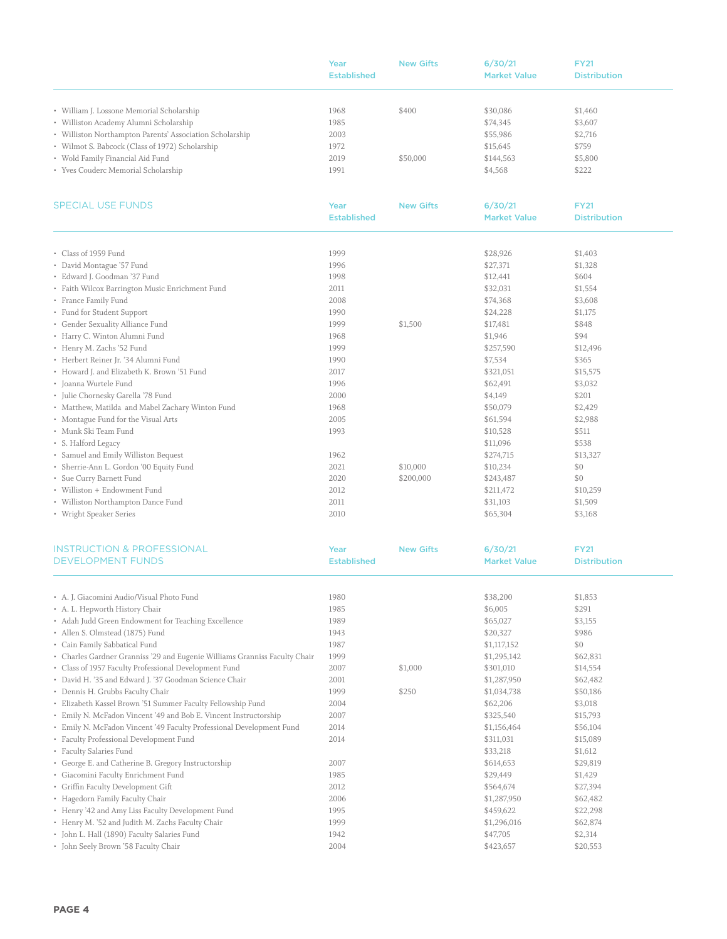|                                                          | Year               | <b>New Gifts</b> | 6/30/21             | <b>FY21</b>         |
|----------------------------------------------------------|--------------------|------------------|---------------------|---------------------|
|                                                          | <b>Established</b> |                  | <b>Market Value</b> | <b>Distribution</b> |
|                                                          |                    |                  |                     |                     |
| • William J. Lossone Memorial Scholarship                | 1968               | \$400            | \$30,086            | \$1,460             |
| • Williston Academy Alumni Scholarship                   | 1985               |                  | \$74,345            | \$3,607             |
| • Williston Northampton Parents' Association Scholarship | 2003               |                  | \$55,986            | \$2,716             |
| • Wilmot S. Babcock (Class of 1972) Scholarship          | 1972               |                  | \$15,645            | \$759               |
| • Wold Family Financial Aid Fund                         | 2019               | \$50,000         | \$144,563           | \$5,800             |
| • Yves Couderc Memorial Scholarship                      | 1991               |                  | \$4,568             | \$222               |
|                                                          |                    |                  |                     |                     |

| <b>SPECIAL USE FUNDS</b>                         | Year               | <b>New Gifts</b> | 6/30/21             | <b>FY21</b>         |  |
|--------------------------------------------------|--------------------|------------------|---------------------|---------------------|--|
|                                                  | <b>Established</b> |                  | <b>Market Value</b> | <b>Distribution</b> |  |
|                                                  |                    |                  |                     |                     |  |
| • Class of 1959 Fund                             | 1999               |                  | \$28,926            | \$1,403             |  |
| • David Montague '57 Fund                        | 1996               |                  | \$27,371            | \$1,328             |  |
| • Edward J. Goodman '37 Fund                     | 1998               |                  | \$12,441            | \$604               |  |
| • Faith Wilcox Barrington Music Enrichment Fund  | 2011               |                  | \$32,031            | \$1,554             |  |
| • France Family Fund                             | 2008               |                  | \$74,368            | \$3,608             |  |
| • Fund for Student Support                       | 1990               |                  | \$24,228            | \$1,175             |  |
| • Gender Sexuality Alliance Fund                 | 1999               | \$1,500          | \$17,481            | \$848               |  |
| • Harry C. Winton Alumni Fund                    | 1968               |                  | \$1,946             | \$94                |  |
| • Henry M. Zachs '52 Fund                        | 1999               |                  | \$257,590           | \$12,496            |  |
| • Herbert Reiner Jr. '34 Alumni Fund             | 1990               |                  | \$7,534             | \$365               |  |
| • Howard J. and Elizabeth K. Brown '51 Fund      | 2017               |                  | \$321,051           | \$15,575            |  |
| · Joanna Wurtele Fund                            | 1996               |                  | \$62,491            | \$3,032             |  |
| · Julie Chornesky Garella '78 Fund               | 2000               |                  | \$4,149             | \$201               |  |
| • Matthew, Matilda and Mabel Zachary Winton Fund | 1968               |                  | \$50,079            | \$2,429             |  |
| • Montague Fund for the Visual Arts              | 2005               |                  | \$61,594            | \$2,988             |  |
| • Munk Ski Team Fund                             | 1993               |                  | \$10,528            | \$511               |  |
| • S. Halford Legacy                              |                    |                  | \$11,096            | \$538               |  |
| • Samuel and Emily Williston Bequest             | 1962               |                  | \$274,715           | \$13,327            |  |
| • Sherrie-Ann L. Gordon '00 Equity Fund          | 2021               | \$10,000         | \$10,234            | \$0                 |  |
| • Sue Curry Barnett Fund                         | 2020               | \$200,000        | \$243,487           | \$0                 |  |
| • Williston + Endowment Fund                     | 2012               |                  | \$211,472           | \$10,259            |  |
| • Williston Northampton Dance Fund               | 2011               |                  | \$31,103            | \$1,509             |  |
| • Wright Speaker Series                          | 2010               |                  | \$65,304            | \$3,168             |  |

| <b>INSTRUCTION &amp; PROFESSIONAL</b>                                      | Year               | <b>New Gifts</b> | 6/30/21             | <b>FY21</b>         |  |
|----------------------------------------------------------------------------|--------------------|------------------|---------------------|---------------------|--|
| <b>DEVELOPMENT FUNDS</b>                                                   | <b>Established</b> |                  | <b>Market Value</b> | <b>Distribution</b> |  |
|                                                                            |                    |                  |                     |                     |  |
| • A. J. Giacomini Audio/Visual Photo Fund                                  | 1980               |                  | \$38,200            | \$1,853             |  |
| • A. L. Hepworth History Chair                                             | 1985               |                  | \$6,005             | \$291               |  |
| • Adah Judd Green Endowment for Teaching Excellence                        | 1989               |                  | \$65,027            | \$3,155             |  |
| • Allen S. Olmstead (1875) Fund                                            | 1943               |                  | \$20,327            | \$986               |  |
| • Cain Family Sabbatical Fund                                              | 1987               |                  | \$1,117,152         | \$0                 |  |
| • Charles Gardner Granniss '29 and Eugenie Williams Granniss Faculty Chair | 1999               |                  | \$1,295,142         | \$62,831            |  |
| • Class of 1957 Faculty Professional Development Fund                      | 2007               | \$1,000          | \$301,010           | \$14,554            |  |
| • David H. '35 and Edward J. '37 Goodman Science Chair                     | 2001               |                  | \$1,287,950         | \$62,482            |  |
| • Dennis H. Grubbs Faculty Chair                                           | 1999               | \$250            | \$1,034,738         | \$50,186            |  |
| · Elizabeth Kassel Brown '51 Summer Faculty Fellowship Fund                | 2004               |                  | \$62,206            | \$3,018             |  |
| • Emily N. McFadon Vincent '49 and Bob E. Vincent Instructorship           | 2007               |                  | \$325,540           | \$15,793            |  |
| • Emily N. McFadon Vincent '49 Faculty Professional Development Fund       | 2014               |                  | \$1,156,464         | \$56,104            |  |
| • Faculty Professional Development Fund                                    | 2014               |                  | \$311,031           | \$15,089            |  |
| • Faculty Salaries Fund                                                    |                    |                  | \$33,218            | \$1,612             |  |
| • George E. and Catherine B. Gregory Instructorship                        | 2007               |                  | \$614,653           | \$29,819            |  |
| · Giacomini Faculty Enrichment Fund                                        | 1985               |                  | \$29,449            | \$1,429             |  |
| • Griffin Faculty Development Gift                                         | 2012               |                  | \$564,674           | \$27,394            |  |
| • Hagedorn Family Faculty Chair                                            | 2006               |                  | \$1,287,950         | \$62,482            |  |
| • Henry '42 and Amy Liss Faculty Development Fund                          | 1995               |                  | \$459,622           | \$22,298            |  |
| • Henry M. '52 and Judith M. Zachs Faculty Chair                           | 1999               |                  | \$1,296,016         | \$62,874            |  |
| · John L. Hall (1890) Faculty Salaries Fund                                | 1942               |                  | \$47,705            | \$2,314             |  |
| • John Seely Brown '58 Faculty Chair                                       | 2004               |                  | \$423,657           | \$20,553            |  |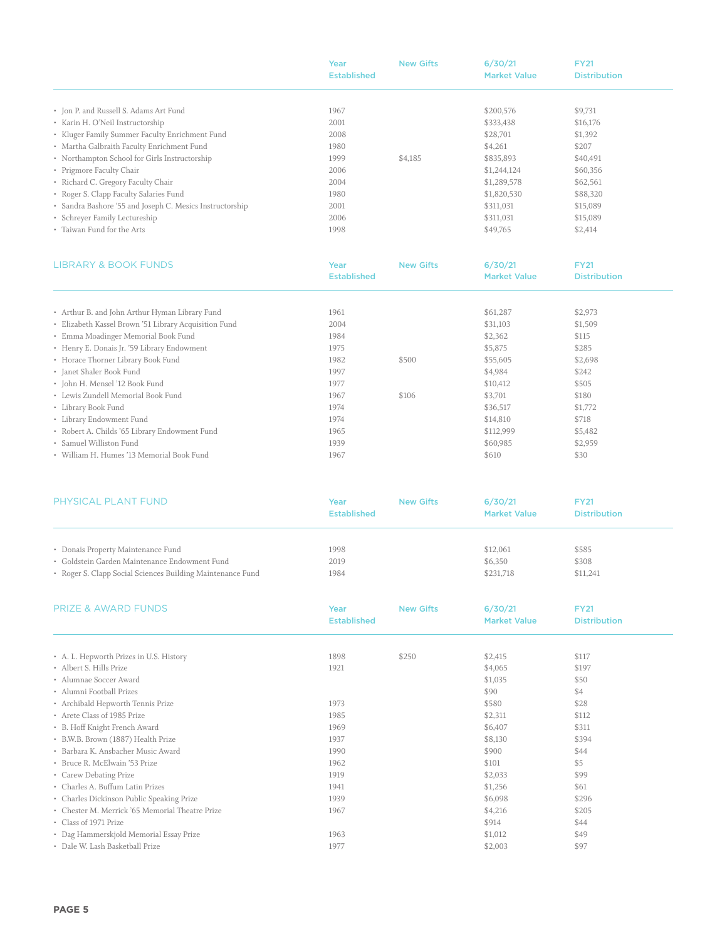|                                                          | Year               | <b>New Gifts</b> | 6/30/21             | <b>FY21</b>         |
|----------------------------------------------------------|--------------------|------------------|---------------------|---------------------|
|                                                          | <b>Established</b> |                  | <b>Market Value</b> | <b>Distribution</b> |
|                                                          |                    |                  |                     |                     |
| • Jon P. and Russell S. Adams Art Fund                   | 1967               |                  | \$200,576           | \$9,731             |
| • Karin H. O'Neil Instructorship                         | 2001               |                  | \$333,438           | \$16,176            |
| • Kluger Family Summer Faculty Enrichment Fund           | 2008               |                  | \$28,701            | \$1,392             |
| • Martha Galbraith Faculty Enrichment Fund               | 1980               |                  | \$4,261             | \$207               |
| • Northampton School for Girls Instructorship            | 1999               | \$4,185          | \$835,893           | \$40,491            |
| • Prigmore Faculty Chair                                 | 2006               |                  | \$1,244,124         | \$60,356            |
| • Richard C. Gregory Faculty Chair                       | 2004               |                  | \$1,289,578         | \$62,561            |
| • Roger S. Clapp Faculty Salaries Fund                   | 1980               |                  | \$1,820,530         | \$88,320            |
| • Sandra Bashore '55 and Joseph C. Mesics Instructorship | 2001               |                  | \$311,031           | \$15,089            |
| • Schreyer Family Lectureship                            | 2006               |                  | \$311,031           | \$15,089            |
| • Taiwan Fund for the Arts                               | 1998               |                  | \$49,765            | \$2,414             |
|                                                          |                    |                  |                     |                     |

| LIBRARY & BOOK FUNDS                                  | Year               | <b>New Gifts</b> | 6/30/21             | <b>FY21</b>         |
|-------------------------------------------------------|--------------------|------------------|---------------------|---------------------|
|                                                       | <b>Established</b> |                  | <b>Market Value</b> | <b>Distribution</b> |
|                                                       |                    |                  |                     |                     |
| • Arthur B. and John Arthur Hyman Library Fund        | 1961               |                  | \$61,287            | \$2,973             |
| • Elizabeth Kassel Brown '51 Library Acquisition Fund | 2004               |                  | \$31,103            | \$1,509             |
| • Emma Moadinger Memorial Book Fund                   | 1984               |                  | \$2,362             | \$115               |
| • Henry E. Donais Jr. '59 Library Endowment           | 1975               |                  | \$5,875             | \$285               |
| • Horace Thorner Library Book Fund                    | 1982               | \$500            | \$55,605            | \$2,698             |
| • Janet Shaler Book Fund                              | 1997               |                  | \$4,984             | \$242               |
| • John H. Mensel '12 Book Fund                        | 1977               |                  | \$10,412            | \$505               |
| • Lewis Zundell Memorial Book Fund                    | 1967               | \$106            | \$3,701             | \$180               |
| • Library Book Fund                                   | 1974               |                  | \$36,517            | \$1,772             |
| • Library Endowment Fund                              | 1974               |                  | \$14,810            | \$718               |
| • Robert A. Childs '65 Library Endowment Fund         | 1965               |                  | \$112,999           | \$5,482             |
| • Samuel Williston Fund                               | 1939               |                  | \$60,985            | \$2,959             |
| • William H. Humes '13 Memorial Book Fund             | 1967               |                  | \$610               | \$30                |

| PHYSICAL PLANT FUND                                        | Year<br><b>Established</b> | <b>New Gifts</b> | 6/30/21<br><b>Market Value</b> | <b>FY21</b><br><b>Distribution</b> |
|------------------------------------------------------------|----------------------------|------------------|--------------------------------|------------------------------------|
| • Donais Property Maintenance Fund                         | 1998                       |                  | \$12,061                       | \$585                              |
| • Goldstein Garden Maintenance Endowment Fund              | 2019                       |                  | \$6,350                        | \$308                              |
| • Roger S. Clapp Social Sciences Building Maintenance Fund | 1984                       |                  | \$231,718                      | \$11,241                           |

| <b>PRIZE &amp; AWARD FUNDS</b>                  | Year<br><b>Established</b> | <b>New Gifts</b> | 6/30/21<br><b>Market Value</b> | <b>FY21</b><br><b>Distribution</b> |  |
|-------------------------------------------------|----------------------------|------------------|--------------------------------|------------------------------------|--|
|                                                 |                            |                  |                                |                                    |  |
| • A. L. Hepworth Prizes in U.S. History         | 1898                       | \$250            | \$2,415                        | \$117                              |  |
| • Albert S. Hills Prize                         | 1921                       |                  | \$4,065                        | \$197                              |  |
| • Alumnae Soccer Award                          |                            |                  | \$1,035                        | \$50                               |  |
| • Alumni Football Prizes                        |                            |                  | \$90                           | \$4                                |  |
| • Archibald Hepworth Tennis Prize               | 1973                       |                  | \$580                          | \$28                               |  |
| • Arete Class of 1985 Prize                     | 1985                       |                  | \$2,311                        | \$112                              |  |
| • B. Hoff Knight French Award                   | 1969                       |                  | \$6,407                        | \$311                              |  |
| • B.W.B. Brown (1887) Health Prize              | 1937                       |                  | \$8,130                        | \$394                              |  |
| • Barbara K. Ansbacher Music Award              | 1990                       |                  | \$900                          | \$44                               |  |
| • Bruce R. McElwain '53 Prize                   | 1962                       |                  | \$101                          | \$5                                |  |
| • Carew Debating Prize                          | 1919                       |                  | \$2,033                        | \$99                               |  |
| • Charles A. Buffum Latin Prizes                | 1941                       |                  | \$1,256                        | \$61                               |  |
| • Charles Dickinson Public Speaking Prize       | 1939                       |                  | \$6,098                        | \$296                              |  |
| • Chester M. Merrick '65 Memorial Theatre Prize | 1967                       |                  | \$4,216                        | \$205                              |  |
| • Class of 1971 Prize                           |                            |                  | \$914                          | \$44                               |  |
| • Dag Hammerskjold Memorial Essay Prize         | 1963                       |                  | \$1,012                        | \$49                               |  |
| • Dale W. Lash Basketball Prize                 | 1977                       |                  | \$2,003                        | \$97                               |  |